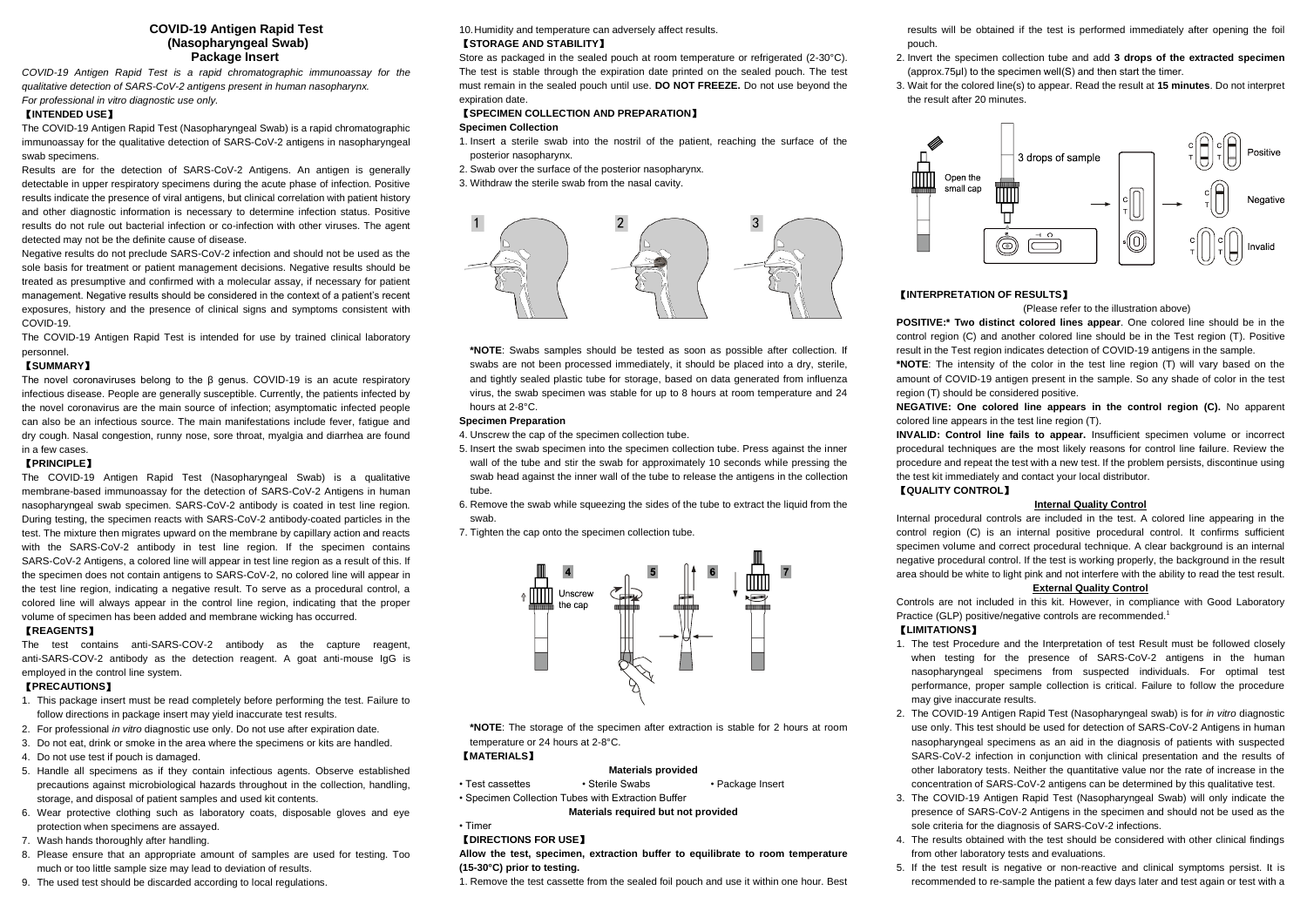## **COVID-19 Antigen Rapid Test (Nasopharyngeal Swab) Package Insert**

*COVID-19 Antigen Rapid Test is a rapid chromatographic immunoassay for the qualitative detection of SARS-CoV-2 antigens present in human nasopharynx. For professional in vitro diagnostic use only.* 

### 【**INTENDED USE**】

The COVID-19 Antigen Rapid Test (Nasopharyngeal Swab) is a rapid chromatographic immunoassay for the qualitative detection of SARS-CoV-2 antigens in nasopharyngeal swab specimens.

Results are for the detection of SARS-CoV-2 Antigens. An antigen is generally detectable in upper respiratory specimens during the acute phase of infection. Positive results indicate the presence of viral antigens, but clinical correlation with patient history and other diagnostic information is necessary to determine infection status. Positive results do not rule out bacterial infection or co-infection with other viruses. The agent detected may not be the definite cause of disease.

Negative results do not preclude SARS-CoV-2 infection and should not be used as the sole basis for treatment or patient management decisions. Negative results should be treated as presumptive and confirmed with a molecular assay, if necessary for patient management. Negative results should be considered in the context of a patient's recent exposures, history and the presence of clinical signs and symptoms consistent with COVID-19.

The COVID-19 Antigen Rapid Test is intended for use by trained clinical laboratory personnel.

## 【**SUMMARY**】

The novel coronaviruses belong to the β genus. COVID-19 is an acute respiratory infectious disease. People are generally susceptible. Currently, the patients infected by the novel coronavirus are the main source of infection; asymptomatic infected people can also be an infectious source. The main manifestations include fever, fatigue and dry cough. Nasal congestion, runny nose, sore throat, myalgia and diarrhea are found in a few cases.

# 【**PRINCIPLE**】

The COVID-19 Antigen Rapid Test (Nasopharyngeal Swab) is a qualitative membrane-based immunoassay for the detection of SARS-CoV-2 Antigens in human nasopharyngeal swab specimen. SARS-CoV-2 antibody is coated in test line region. During testing, the specimen reacts with SARS-CoV-2 antibody-coated particles in the test. The mixture then migrates upward on the membrane by capillary action and reacts with the SARS-CoV-2 antibody in test line region. If the specimen contains SARS-CoV-2 Antigens, a colored line will appear in test line region as a result of this. If the specimen does not contain antigens to SARS-CoV-2, no colored line will appear in the test line region, indicating a negative result. To serve as a procedural control, a colored line will always appear in the control line region, indicating that the proper volume of specimen has been added and membrane wicking has occurred.

#### 【**REAGENTS**】

The test contains anti-SARS-COV-2 antibody as the capture reagent, anti-SARS-COV-2 antibody as the detection reagent. A goat anti-mouse IgG is employed in the control line system.

## 【**PRECAUTIONS**】

- 1. This package insert must be read completely before performing the test. Failure to follow directions in package insert may yield inaccurate test results.
- 2. For professional *in vitro* diagnostic use only. Do not use after expiration date.
- 3. Do not eat, drink or smoke in the area where the specimens or kits are handled.
- 4. Do not use test if pouch is damaged.
- 5. Handle all specimens as if they contain infectious agents. Observe established precautions against microbiological hazards throughout in the collection, handling, storage, and disposal of patient samples and used kit contents.
- 6. Wear protective clothing such as laboratory coats, disposable gloves and eye protection when specimens are assayed.
- 7. Wash hands thoroughly after handling.
- 8. Please ensure that an appropriate amount of samples are used for testing. Too much or too little sample size may lead to deviation of results.
- 9. The used test should be discarded according to local regulations.

10.Humidity and temperature can adversely affect results. 【**STORAGE AND STABILITY**】

Store as packaged in the sealed pouch at room temperature or refrigerated (2-30°C). The test is stable through the expiration date printed on the sealed pouch. The test must remain in the sealed pouch until use. **DO NOT FREEZE.** Do not use beyond the expiration date.

## 【**SPECIMEN COLLECTION AND PREPARATION**】 **Specimen Collection**

- 1. Insert a sterile swab into the nostril of the patient, reaching the surface of the posterior nasopharynx.
- 2. Swab over the surface of the posterior nasopharynx.
- 3. Withdraw the sterile swab from the nasal cavity.



**\*NOTE**: Swabs samples should be tested as soon as possible after collection. If swabs are not been processed immediately, it should be placed into a dry, sterile, and tightly sealed plastic tube for storage, based on data generated from influenza virus, the swab specimen was stable for up to 8 hours at room temperature and 24 hours at 2-8°C.

### **Specimen Preparation**

4. Unscrew the cap of the specimen collection tube.

- 5. Insert the swab specimen into the specimen collection tube. Press against the inner wall of the tube and stir the swab for approximately 10 seconds while pressing the swab head against the inner wall of the tube to release the antigens in the collection tube.
- 6. Remove the swab while squeezing the sides of the tube to extract the liquid from the swab.
- 7. Tighten the cap onto the specimen collection tube.



**\*NOTE**: The storage of the specimen after extraction is stable for 2 hours at room temperature or 24 hours at 2-8°C. 【**MATERIALS**】

## **Materials provided**

• Test cassettes • Sterile Swabs • Package Insert • Specimen Collection Tubes with Extraction Buffer

**Materials required but not provided**

# 【**DIRECTIONS FOR USE**】

• Timer

**Allow the test, specimen, extraction buffer to equilibrate to room temperature (15-30°C) prior to testing.**

1. Remove the test cassette from the sealed foil pouch and use it within one hour. Best

results will be obtained if the test is performed immediately after opening the foil pouch.

- 2. Invert the specimen collection tube and add **3 drops of the extracted specimen**  (approx.75μl) to the specimen well(S) and then start the timer.
- 3. Wait for the colored line(s) to appear. Read the result at **15 minutes**. Do not interpret the result after 20 minutes.



## 【**INTERPRETATION OF RESULTS**】

#### (Please refer to the illustration above)

**POSITIVE:\* Two distinct colored lines appear**. One colored line should be in the control region (C) and another colored line should be in the Test region (T). Positive result in the Test region indicates detection of COVID-19 antigens in the sample.

**\*NOTE**: The intensity of the color in the test line region (T) will vary based on the amount of COVID-19 antigen present in the sample. So any shade of color in the test region (T) should be considered positive.

**NEGATIVE: One colored line appears in the control region (C).** No apparent colored line appears in the test line region (T).

**INVALID: Control line fails to appear.** Insufficient specimen volume or incorrect procedural techniques are the most likely reasons for control line failure. Review the procedure and repeat the test with a new test. If the problem persists, discontinue using the test kit immediately and contact your local distributor.

## 【**QUALITY CONTROL**】

#### **Internal Quality Control**

Internal procedural controls are included in the test. A colored line appearing in the control region (C) is an internal positive procedural control. It confirms sufficient specimen volume and correct procedural technique. A clear background is an internal negative procedural control. If the test is working properly, the background in the result area should be white to light pink and not interfere with the ability to read the test result.

## **External Quality Control**

Controls are not included in this kit. However, in compliance with Good Laboratory Practice (GLP) positive/negative controls are recommended.<sup>1</sup>

## 【**LIMITATIONS**】

- 1. The test Procedure and the Interpretation of test Result must be followed closely when testing for the presence of SARS-CoV-2 antigens in the human nasopharyngeal specimens from suspected individuals. For optimal test performance, proper sample collection is critical. Failure to follow the procedure may give inaccurate results.
- 2. The COVID-19 Antigen Rapid Test (Nasopharyngeal swab) is for *in vitro* diagnostic use only. This test should be used for detection of SARS-CoV-2 Antigens in human nasopharyngeal specimens as an aid in the diagnosis of patients with suspected SARS-CoV-2 infection in conjunction with clinical presentation and the results of other laboratory tests. Neither the quantitative value nor the rate of increase in the concentration of SARS-CoV-2 antigens can be determined by this qualitative test.
- 3. The COVID-19 Antigen Rapid Test (Nasopharyngeal Swab) will only indicate the presence of SARS-CoV-2 Antigens in the specimen and should not be used as the sole criteria for the diagnosis of SARS-CoV-2 infections.
- 4. The results obtained with the test should be considered with other clinical findings from other laboratory tests and evaluations.
- 5. If the test result is negative or non-reactive and clinical symptoms persist. It is recommended to re-sample the patient a few days later and test again or test with a